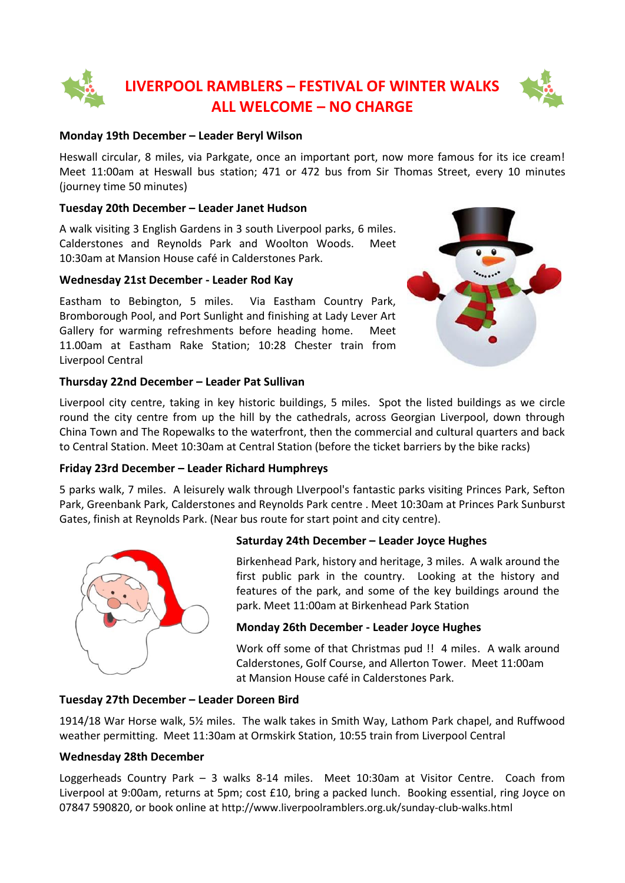# **LIVERPOOL RAMBLERS – FESTIVAL OF WINTER WALKS ALL WELCOME – NO CHARGE**

#### **Monday 19th December – Leader Beryl Wilson**

Heswall circular, 8 miles, via Parkgate, once an important port, now more famous for its ice cream! Meet 11:00am at Heswall bus station; 471 or 472 bus from Sir Thomas Street, every 10 minutes (journey time 50 minutes)

#### **Tuesday 20th December – Leader Janet Hudson**

A walk visiting 3 English Gardens in 3 south Liverpool parks, 6 miles. Calderstones and Reynolds Park and Woolton Woods. Meet 10:30am at Mansion House café in Calderstones Park.

#### **Wednesday 21st December - Leader Rod Kay**

Eastham to Bebington, 5 miles. Via Eastham Country Park, Bromborough Pool, and Port Sunlight and finishing at Lady Lever Art Gallery for warming refreshments before heading home. Meet 11.00am at Eastham Rake Station; 10:28 Chester train from Liverpool Central



#### **Thursday 22nd December – Leader Pat Sullivan**

Liverpool city centre, taking in key historic buildings, 5 miles. Spot the listed buildings as we circle round the city centre from up the hill by the cathedrals, across Georgian Liverpool, down through China Town and The Ropewalks to the waterfront, then the commercial and cultural quarters and back to Central Station. Meet 10:30am at Central Station (before the ticket barriers by the bike racks)

#### **Friday 23rd December – Leader Richard Humphreys**

5 parks walk, 7 miles. A leisurely walk through LIverpool's fantastic parks visiting Princes Park, Sefton Park, Greenbank Park, Calderstones and Reynolds Park centre . Meet 10:30am at Princes Park Sunburst Gates, finish at Reynolds Park. (Near bus route for start point and city centre).



#### **Saturday 24th December – Leader Joyce Hughes**

Birkenhead Park, history and heritage, 3 miles. A walk around the first public park in the country. Looking at the history and features of the park, and some of the key buildings around the park. Meet 11:00am at Birkenhead Park Station

#### **Monday 26th December - Leader Joyce Hughes**

Work off some of that Christmas pud !! 4 miles. A walk around Calderstones, Golf Course, and Allerton Tower. Meet 11:00am at Mansion House café in Calderstones Park.

#### **Tuesday 27th December – Leader Doreen Bird**

1914/18 War Horse walk, 5½ miles. The walk takes in Smith Way, Lathom Park chapel, and Ruffwood weather permitting. Meet 11:30am at Ormskirk Station, 10:55 train from Liverpool Central

#### **Wednesday 28th December**

Loggerheads Country Park – 3 walks 8-14 miles. Meet 10:30am at Visitor Centre. Coach from Liverpool at 9:00am, returns at 5pm; cost £10, bring a packed lunch. Booking essential, ring Joyce on 07847 590820, or book online at <http://www.liverpoolramblers.org.uk/sunday-club-walks.html>